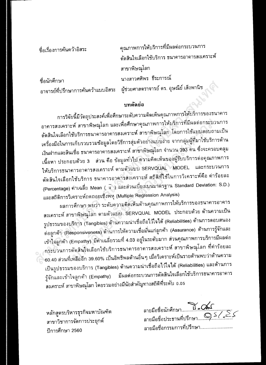| ชื่อเรื่องการค้นคว้าอิสระ | ์คุณภาพการให้บริการที่มีผลต่อกระบวนการ                                       |
|---------------------------|------------------------------------------------------------------------------|
|                           | ้ตัดสินใจเลือกใช้บริการ ธนาคารอาคารสงเคราะห์                                 |
|                           | สาขาพิษณุโลก                                                                 |
| ชื่อนักศึกษา              | นางสาวศศิพร ธีระการณ์                                                        |
|                           | ้อาจารย์ที่ปรึกษาการค้นคว้าแบบอิสระ ผู้ช่วยศาสตราจารย์ ดร. อุษณีย์ เส็งพานิช |

## บทคัดย่อ

การวิจัยนี้มีวัตถุประสงค์เพื่อศึกษาระดับความคิดเห็นคุณภาพการให้บริการของธนาคาร อาคารสงเคราะห์ สาขาพิษณุโลก และเพื่อศึกษาคุณภาพการให้บริการที่มีผลต่อกระบวนการ ดัดสินใจเลือกใช้บริการธนาคารอาคารสงเคราะห์ สาขาพิษณุโลก โดยการใช้แบบสอบถามเป็น เครื่องมือในการเก็บรวบรวมข้อมูลโดยวิธีการสุ่มดัวอย่างแบบง่าย จากกลุ่มผู้ที่มาใช้บริการด้าน เงินผ่ากและสินเชื่อ ธนาคารอาคารสงเคราะห์ สาขาพิษณุโลก จำนวน 393 คน ซึ่งจะครอบคลุม เนื้อหา ประกอบด้วย 3 ส่วน คือ ข้อมูลทั่วไป ความคิดเห็นของผู้รับบริการต่อคุณภาพการ ให้บริการธนาคารอาคารสงเคราะห์ ดามดัวแบบ SERVQUAL MODEL และกระบวนการ ดัดสินใจเลือกใช้บริการ ธนาคารอาคารสงเคราะห์ สถิติที่ใช้ในการวิเคราะห์คือ ค่าร้อยละ (Percentage) ค่าเฉลี่ย Mean ( $\bar{x}$  ) และส่วนเบี่ยงเบนมาดรฐาน Standard Deviation: S.D.) และสถิติการวิเคราะห์ถดถอยเชิงพหุ (Multiple Regression Analysis)

ผลการศึกษา พบว่า ระดับความคิดเห็นด้านคุณภาพการให้บริการของธนาคารอาคาร สงเคราะห์ สาขาพิษณุโลก ดามดัวแบบ SERVQUAL MODEL ประกอบด้วย ด้านความเป็น รูปธรรมของบริการ (Tangibles) ด้านความน่าเชื่อถือไว้ใจได้ (Reliabilities) ด้านการดอบสนอง ด่อลูกค้า (Responsiveness) ด้านการให้ความเชื่อมั่นแก่ลูกค้า (Assurance) ด้านการรู้จักและ เข้าใจลูกค้า (Empathy) มีค่าเฉลี่ยรวมที่ 4.03 อยู่ในระดับมาก ส่วนคุณภาพการบริการมีผลด่อ กระบวนการดัดสินใจเลือกใช้บริการธนาคารอาคารสงเคราะห์ สาขาพิษณุโลก ที่ค่าร้อยละ 60.40 ส่วนที่เหลืออีก 39.60% เป็นอิทธิพลด้านอื่นๆ เมื่อวิเคราะห์เป็นรายด้านพบว่าต้านความ เป็นรูปธรรมของบริการ (Tangibles) ด้านความน่าเชื่อถือไว้ไจได้ (Reliabilities) และด้านการ มีผลต่อกระบวนการดัดสินใจเลือกใช้บริการธนาคารอาคาร รู้จักและเข้าใจลูกค้า (Empathy) สงเคราะห์ สาขาพิษณุโลก โดยรวมอย่างมีนัยสำคัญทางสถิติที่ระดับ 0.05

หลักสูตรบริหารธุรกิจมหาบัณฑิด สาขาวิชาการจัดการประยุกด์ ปีการศึกษา 2560

| ลายมือชื่อกรรมการที่ปรึกษา |
|----------------------------|
|                            |